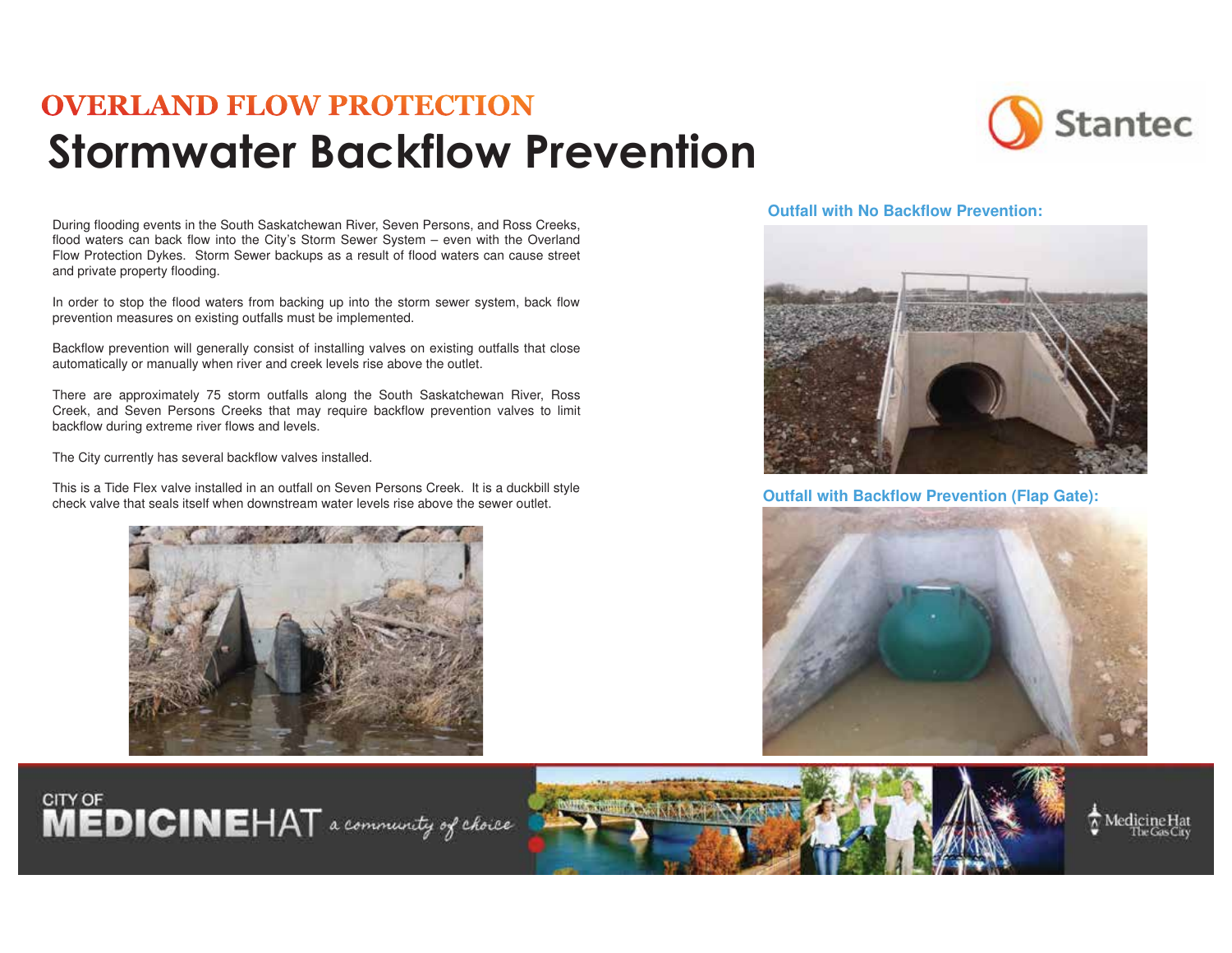## **OVERLAND FLOW PROTECTION** Stormwater Backflow Prevention

During flooding events in the South Saskatchewan River, Seven Persons, and Ross Creeks, flood waters can back flow into the City's Storm Sewer System – even with the Overland Flow Protection Dykes. Storm Sewer backups as a result of flood waters can cause street and private property flooding.

In order to stop the flood waters from backing up into the storm sewer system, back flow prevention measures on existing outfalls must be implemented.

Backflow prevention will generally consist of installing valves on existing outfalls that close automatically or manually when river and creek levels rise above the outlet.

There are approximately 75 storm outfalls along the South Saskatchewan River, Ross Creek, and Seven Persons Creeks that may require backflow prevention valves to limit backflow during extreme river flows and levels.

The City currently has several backflow valves installed.

This is a Tide Flex valve installed in an outfall on Seven Persons Creek. It is a duckbill style This is a Tide Fiex valve installed in an outrall on Seven Persons Creek. It is a duckbill style<br>check valve that seals itself when downstream water levels rise above the sewer outlet.





**Outfall with No Backflow Prevention:**